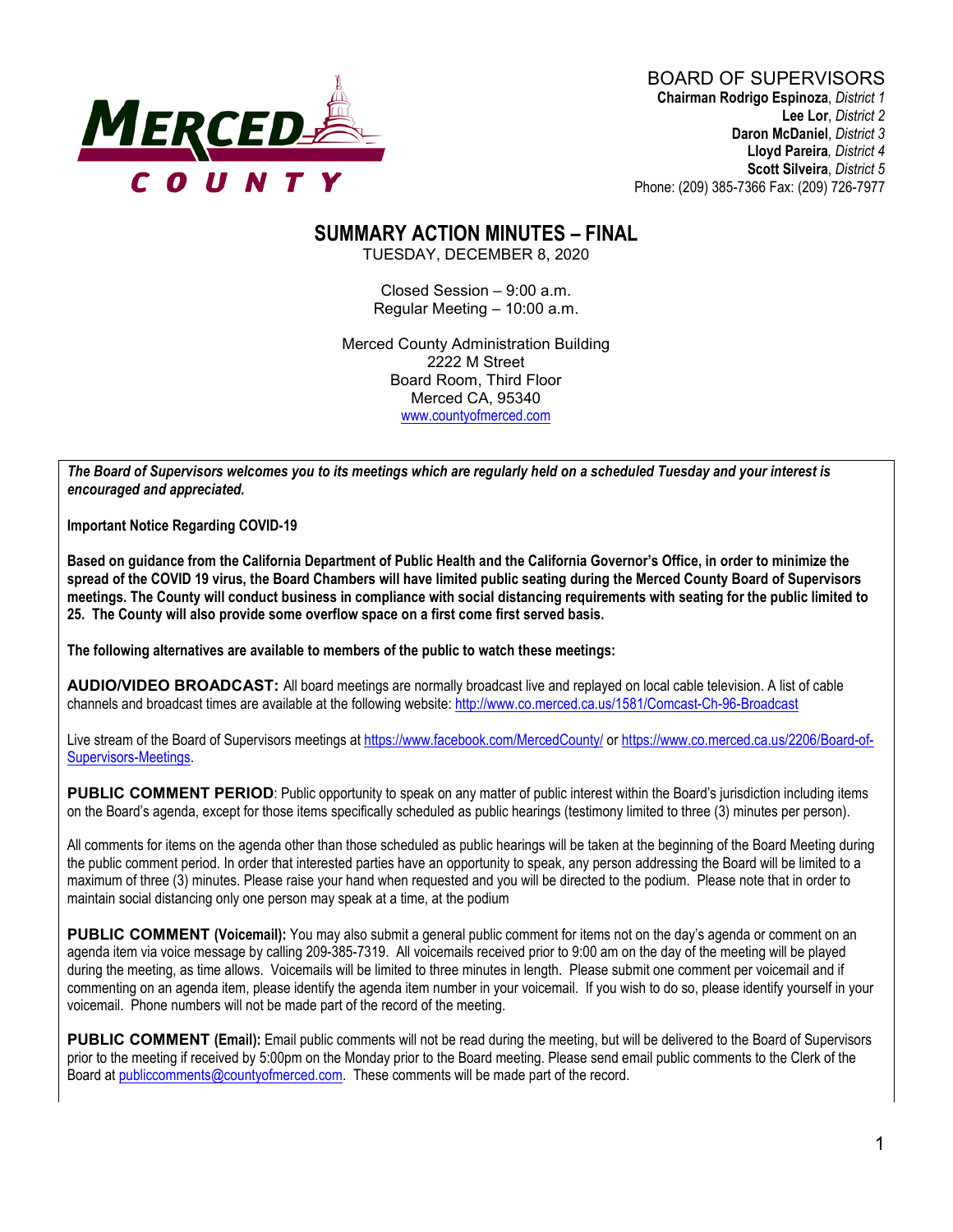

## **SUMMARY ACTION MINUTES – FINAL**

TUESDAY, DECEMBER 8, 2020

Closed Session – 9:00 a.m. Regular Meeting – 10:00 a.m.

Merced County Administration Building 2222 M Street Board Room, Third Floor Merced CA, 95340 www.countyofmerced.com

*The Board of Supervisors welcomes you to its meetings which are regularly held on a scheduled Tuesday and your interest is encouraged and appreciated.*

**Important Notice Regarding COVID-19**

**Based on guidance from the California Department of Public Health and the California Governor's Office, in order to minimize the spread of the COVID 19 virus, the Board Chambers will have limited public seating during the Merced County Board of Supervisors meetings. The County will conduct business in compliance with social distancing requirements with seating for the public limited to 25. The County will also provide some overflow space on a first come first served basis.**

**The following alternatives are available to members of the public to watch these meetings:**

**AUDIO/VIDEO BROADCAST:** All board meetings are normally broadcast live and replayed on local cable television. A list of cable channels and broadcast times are available at the following website[: http://www.co.merced.ca.us/1581/Comcast-Ch-96-Broadcast](http://www.co.merced.ca.us/1581/Comcast-Ch-96-Broadcast)

Live stream of the Board of Supervisors meetings at<https://www.facebook.com/MercedCounty/> o[r https://www.co.merced.ca.us/2206/Board-of-](https://www.co.merced.ca.us/2206/Board-of-Supervisors-Meetings)[Supervisors-Meetings.](https://www.co.merced.ca.us/2206/Board-of-Supervisors-Meetings)

PUBLIC COMMENT PERIOD: Public opportunity to speak on any matter of public interest within the Board's jurisdiction including items on the Board's agenda, except for those items specifically scheduled as public hearings (testimony limited to three (3) minutes per person).

All comments for items on the agenda other than those scheduled as public hearings will be taken at the beginning of the Board Meeting during the public comment period. In order that interested parties have an opportunity to speak, any person addressing the Board will be limited to a maximum of three (3) minutes. Please raise your hand when requested and you will be directed to the podium. Please note that in order to maintain social distancing only one person may speak at a time, at the podium

**PUBLIC COMMENT (Voicemail):** You may also submit a general public comment for items not on the day's agenda or comment on an agenda item via voice message by calling 209-385-7319. All voicemails received prior to 9:00 am on the day of the meeting will be played during the meeting, as time allows. Voicemails will be limited to three minutes in length. Please submit one comment per voicemail and if commenting on an agenda item, please identify the agenda item number in your voicemail. If you wish to do so, please identify yourself in your voicemail. Phone numbers will not be made part of the record of the meeting.

**PUBLIC COMMENT (Email):** Email public comments will not be read during the meeting, but will be delivered to the Board of Supervisors prior to the meeting if received by 5:00pm on the Monday prior to the Board meeting. Please send email public comments to the Clerk of the Board a[t publiccomments@countyofmerced.com.](mailto:publiccomments@countyofmerced.com) These comments will be made part of the record.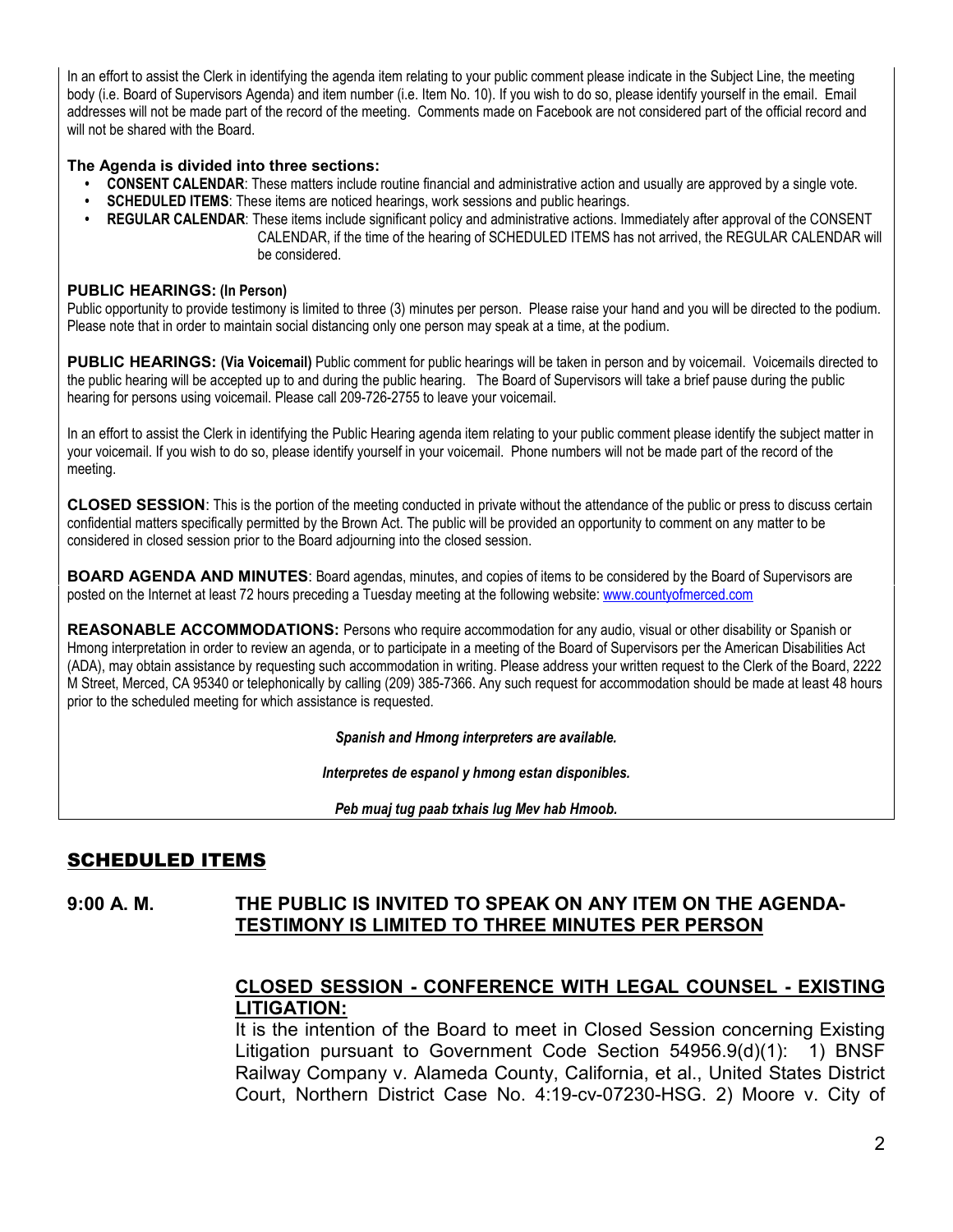In an effort to assist the Clerk in identifying the agenda item relating to your public comment please indicate in the Subject Line, the meeting body (i.e. Board of Supervisors Agenda) and item number (i.e. Item No. 10). If you wish to do so, please identify yourself in the email. Email addresses will not be made part of the record of the meeting. Comments made on Facebook are not considered part of the official record and will not be shared with the Board.

#### **The Agenda is divided into three sections:**

- **CONSENT CALENDAR**: These matters include routine financial and administrative action and usually are approved by a single vote.
- **SCHEDULED ITEMS**: These items are noticed hearings, work sessions and public hearings.
- **REGULAR CALENDAR**: These items include significant policy and administrative actions. Immediately after approval of the CONSENT CALENDAR, if the time of the hearing of SCHEDULED ITEMS has not arrived, the REGULAR CALENDAR will be considered.

#### **PUBLIC HEARINGS: (In Person)**

Public opportunity to provide testimony is limited to three (3) minutes per person. Please raise your hand and you will be directed to the podium. Please note that in order to maintain social distancing only one person may speak at a time, at the podium.

**PUBLIC HEARINGS: (Via Voicemail)** Public comment for public hearings will be taken in person and by voicemail. Voicemails directed to the public hearing will be accepted up to and during the public hearing. The Board of Supervisors will take a brief pause during the public hearing for persons using voicemail. Please call 209-726-2755 to leave your voicemail.

In an effort to assist the Clerk in identifying the Public Hearing agenda item relating to your public comment please identify the subject matter in your voicemail. If you wish to do so, please identify yourself in your voicemail. Phone numbers will not be made part of the record of the meeting.

**CLOSED SESSION**: This is the portion of the meeting conducted in private without the attendance of the public or press to discuss certain confidential matters specifically permitted by the Brown Act. The public will be provided an opportunity to comment on any matter to be considered in closed session prior to the Board adjourning into the closed session.

**BOARD AGENDA AND MINUTES:** Board agendas, minutes, and copies of items to be considered by the Board of Supervisors are posted on the Internet at least 72 hours preceding a Tuesday meeting at the following website: [www.countyofmerced.com](http://www.countyofmerced.com/) 

**REASONABLE ACCOMMODATIONS:** Persons who require accommodation for any audio, visual or other disability or Spanish or Hmong interpretation in order to review an agenda, or to participate in a meeting of the Board of Supervisors per the American Disabilities Act (ADA), may obtain assistance by requesting such accommodation in writing. Please address your written request to the Clerk of the Board, 2222 M Street, Merced, CA 95340 or telephonically by calling (209) 385-7366. Any such request for accommodation should be made at least 48 hours prior to the scheduled meeting for which assistance is requested.

*Spanish and Hmong interpreters are available.*

*Interpretes de espanol y hmong estan disponibles.*

*Peb muaj tug paab txhais lug Mev hab Hmoob.* 

### SCHEDULED ITEMS

#### **9:00 A. M. THE PUBLIC IS INVITED TO SPEAK ON ANY ITEM ON THE AGENDA-TESTIMONY IS LIMITED TO THREE MINUTES PER PERSON**

### **CLOSED SESSION - CONFERENCE WITH LEGAL COUNSEL - EXISTING LITIGATION:**

It is the intention of the Board to meet in Closed Session concerning Existing Litigation pursuant to Government Code Section 54956.9(d)(1): 1) BNSF Railway Company v. Alameda County, California, et al., United States District Court, Northern District Case No. 4:19-cv-07230-HSG. 2) Moore v. City of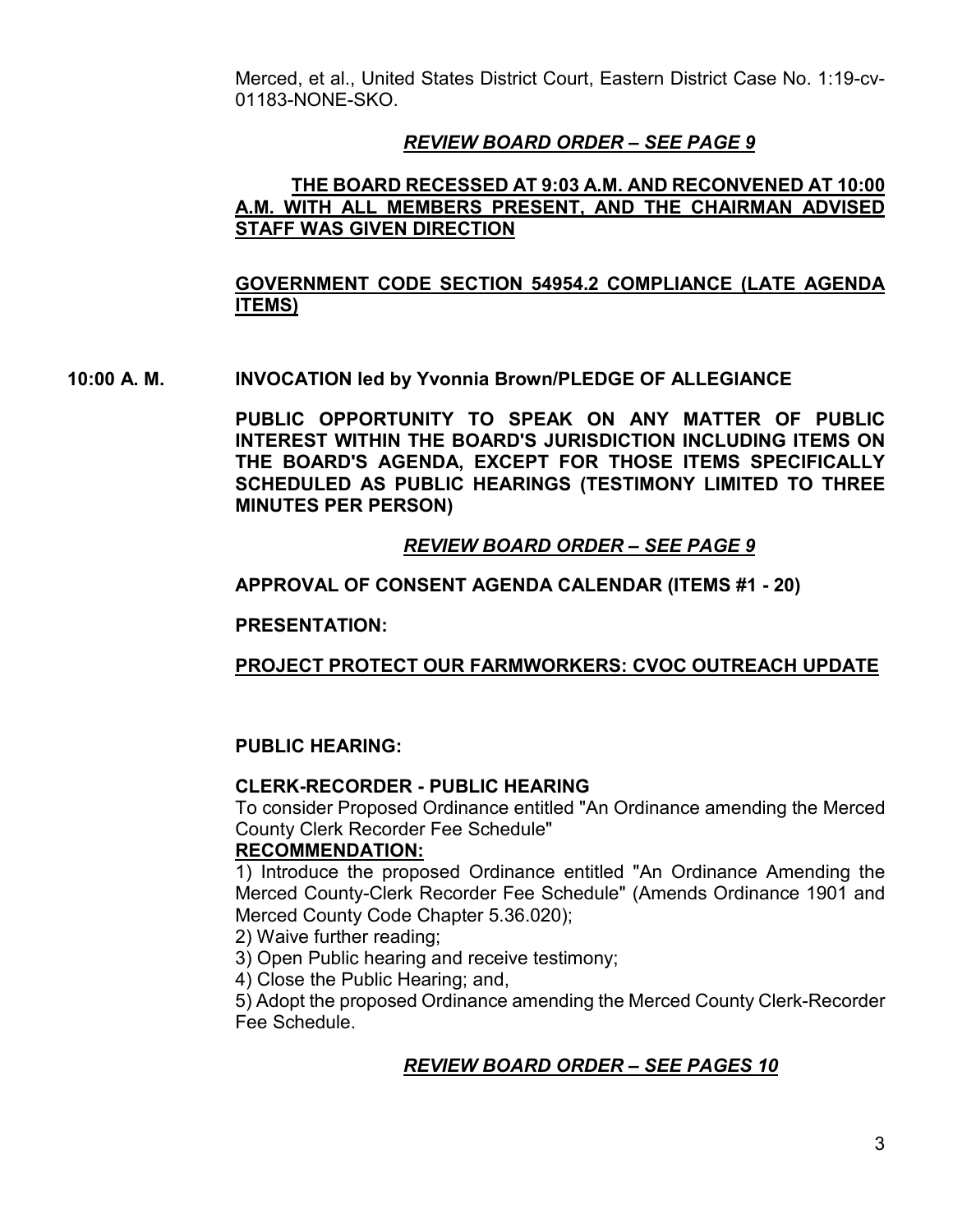Merced, et al., United States District Court, Eastern District Case No. 1:19-cv-01183-NONE-SKO.

### *REVIEW BOARD ORDER – SEE PAGE 9*

#### **THE BOARD RECESSED AT 9:03 A.M. AND RECONVENED AT 10:00 A.M. WITH ALL MEMBERS PRESENT, AND THE CHAIRMAN ADVISED STAFF WAS GIVEN DIRECTION**

### **GOVERNMENT CODE SECTION 54954.2 COMPLIANCE (LATE AGENDA ITEMS)**

**10:00 A. M. INVOCATION led by Yvonnia Brown/PLEDGE OF ALLEGIANCE**

**PUBLIC OPPORTUNITY TO SPEAK ON ANY MATTER OF PUBLIC INTEREST WITHIN THE BOARD'S JURISDICTION INCLUDING ITEMS ON THE BOARD'S AGENDA, EXCEPT FOR THOSE ITEMS SPECIFICALLY SCHEDULED AS PUBLIC HEARINGS (TESTIMONY LIMITED TO THREE MINUTES PER PERSON)**

### *REVIEW BOARD ORDER – SEE PAGE 9*

#### **APPROVAL OF CONSENT AGENDA CALENDAR (ITEMS #1 - 20)**

**PRESENTATION:**

#### **PROJECT PROTECT OUR FARMWORKERS: CVOC OUTREACH UPDATE**

#### **PUBLIC HEARING:**

#### **CLERK-RECORDER - PUBLIC HEARING**

To consider Proposed Ordinance entitled "An Ordinance amending the Merced County Clerk Recorder Fee Schedule"

#### **RECOMMENDATION:**

1) Introduce the proposed Ordinance entitled "An Ordinance Amending the Merced County-Clerk Recorder Fee Schedule" (Amends Ordinance 1901 and Merced County Code Chapter 5.36.020);

2) Waive further reading;

3) Open Public hearing and receive testimony;

4) Close the Public Hearing; and,

5) Adopt the proposed Ordinance amending the Merced County Clerk-Recorder Fee Schedule.

#### *REVIEW BOARD ORDER – SEE PAGES 10*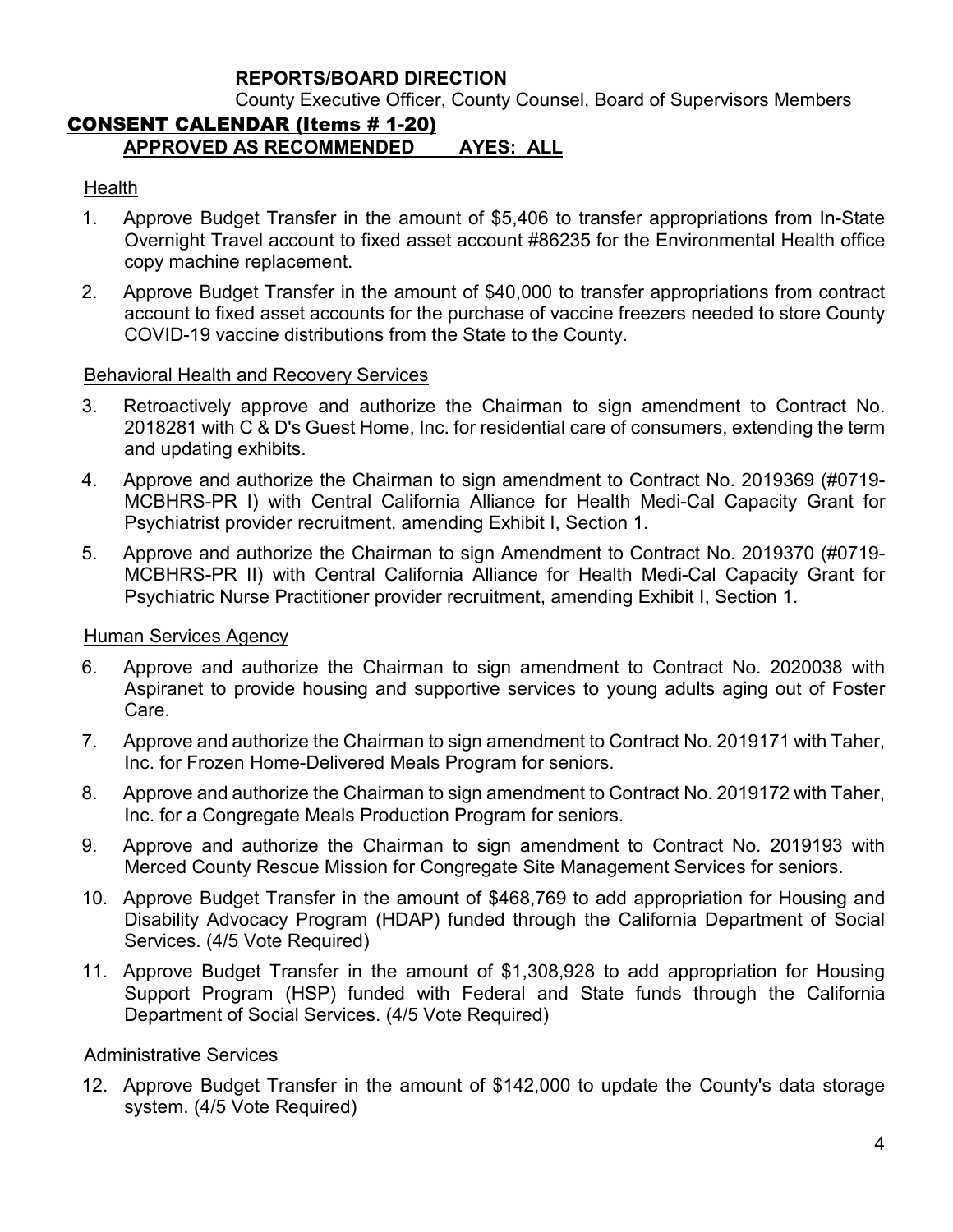### **REPORTS/BOARD DIRECTION**

County Executive Officer, County Counsel, Board of Supervisors Members

## CONSENT CALENDAR (Items # 1-20) **APPROVED AS RECOMMENDED AYES: ALL**

#### **Health**

- 1. Approve Budget Transfer in the amount of \$5,406 to transfer appropriations from In-State Overnight Travel account to fixed asset account #86235 for the Environmental Health office copy machine replacement.
- 2. Approve Budget Transfer in the amount of \$40,000 to transfer appropriations from contract account to fixed asset accounts for the purchase of vaccine freezers needed to store County COVID-19 vaccine distributions from the State to the County.

#### Behavioral Health and Recovery Services

- 3. Retroactively approve and authorize the Chairman to sign amendment to Contract No. 2018281 with C & D's Guest Home, Inc. for residential care of consumers, extending the term and updating exhibits.
- 4. Approve and authorize the Chairman to sign amendment to Contract No. 2019369 (#0719- MCBHRS-PR I) with Central California Alliance for Health Medi-Cal Capacity Grant for Psychiatrist provider recruitment, amending Exhibit I, Section 1.
- 5. Approve and authorize the Chairman to sign Amendment to Contract No. 2019370 (#0719- MCBHRS-PR II) with Central California Alliance for Health Medi-Cal Capacity Grant for Psychiatric Nurse Practitioner provider recruitment, amending Exhibit I, Section 1.

#### Human Services Agency

- 6. Approve and authorize the Chairman to sign amendment to Contract No. 2020038 with Aspiranet to provide housing and supportive services to young adults aging out of Foster Care.
- 7. Approve and authorize the Chairman to sign amendment to Contract No. 2019171 with Taher, Inc. for Frozen Home-Delivered Meals Program for seniors.
- 8. Approve and authorize the Chairman to sign amendment to Contract No. 2019172 with Taher, Inc. for a Congregate Meals Production Program for seniors.
- 9. Approve and authorize the Chairman to sign amendment to Contract No. 2019193 with Merced County Rescue Mission for Congregate Site Management Services for seniors.
- 10. Approve Budget Transfer in the amount of \$468,769 to add appropriation for Housing and Disability Advocacy Program (HDAP) funded through the California Department of Social Services. (4/5 Vote Required)
- 11. Approve Budget Transfer in the amount of \$1,308,928 to add appropriation for Housing Support Program (HSP) funded with Federal and State funds through the California Department of Social Services. (4/5 Vote Required)

#### Administrative Services

12. Approve Budget Transfer in the amount of \$142,000 to update the County's data storage system. (4/5 Vote Required)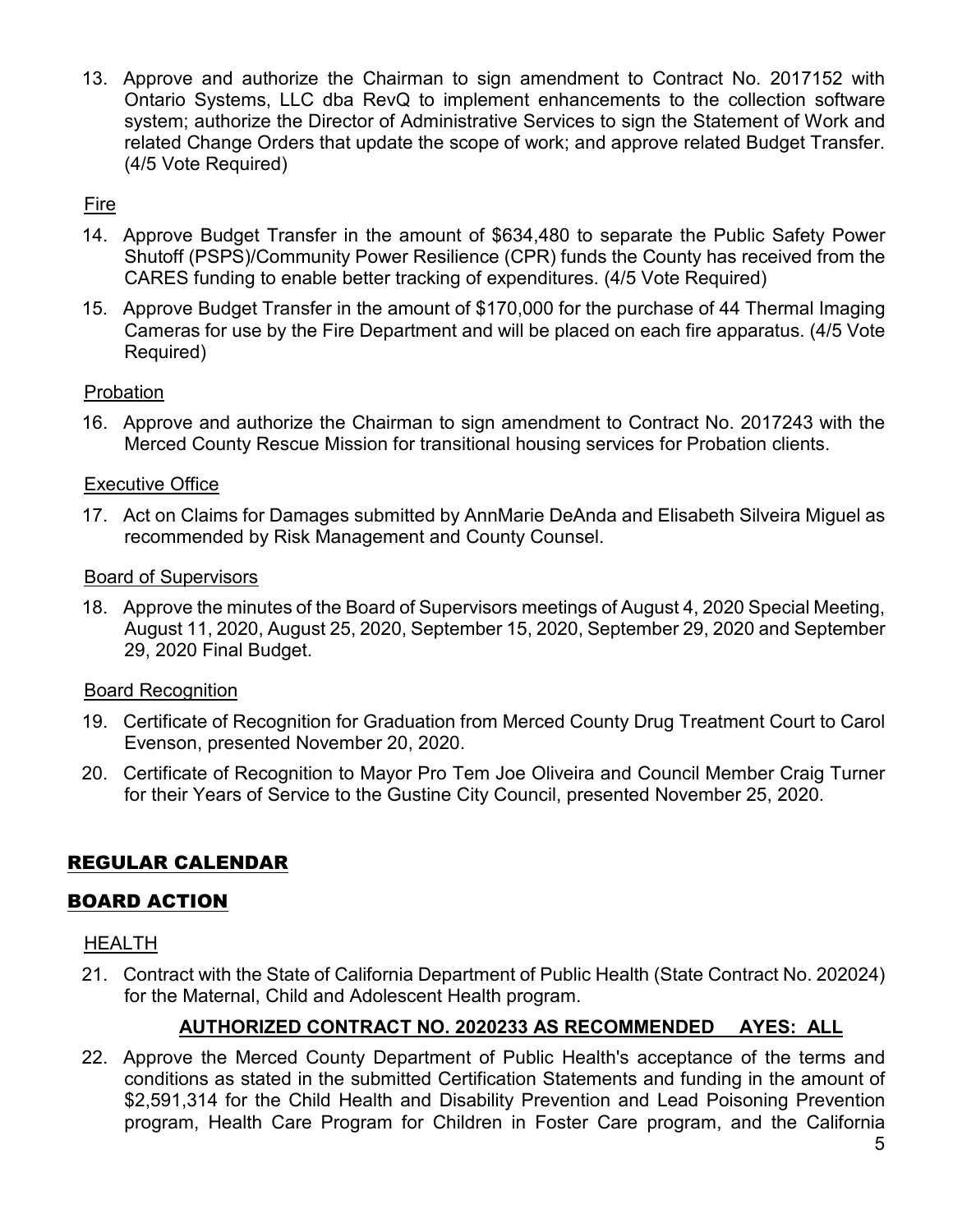13. Approve and authorize the Chairman to sign amendment to Contract No. 2017152 with Ontario Systems, LLC dba RevQ to implement enhancements to the collection software system; authorize the Director of Administrative Services to sign the Statement of Work and related Change Orders that update the scope of work; and approve related Budget Transfer. (4/5 Vote Required)

## Fire

- 14. Approve Budget Transfer in the amount of \$634,480 to separate the Public Safety Power Shutoff (PSPS)/Community Power Resilience (CPR) funds the County has received from the CARES funding to enable better tracking of expenditures. (4/5 Vote Required)
- 15. Approve Budget Transfer in the amount of \$170,000 for the purchase of 44 Thermal Imaging Cameras for use by the Fire Department and will be placed on each fire apparatus. (4/5 Vote Required)

### Probation

16. Approve and authorize the Chairman to sign amendment to Contract No. 2017243 with the Merced County Rescue Mission for transitional housing services for Probation clients.

#### Executive Office

17. Act on Claims for Damages submitted by AnnMarie DeAnda and Elisabeth Silveira Miguel as recommended by Risk Management and County Counsel.

#### Board of Supervisors

18. Approve the minutes of the Board of Supervisors meetings of August 4, 2020 Special Meeting, August 11, 2020, August 25, 2020, September 15, 2020, September 29, 2020 and September 29, 2020 Final Budget.

### Board Recognition

- 19. Certificate of Recognition for Graduation from Merced County Drug Treatment Court to Carol Evenson, presented November 20, 2020.
- 20. Certificate of Recognition to Mayor Pro Tem Joe Oliveira and Council Member Craig Turner for their Years of Service to the Gustine City Council, presented November 25, 2020.

## REGULAR CALENDAR

### BOARD ACTION

#### HEALTH

21. Contract with the State of California Department of Public Health (State Contract No. 202024) for the Maternal, Child and Adolescent Health program.

### **AUTHORIZED CONTRACT NO. 2020233 AS RECOMMENDED AYES: ALL**

22. Approve the Merced County Department of Public Health's acceptance of the terms and conditions as stated in the submitted Certification Statements and funding in the amount of \$2,591,314 for the Child Health and Disability Prevention and Lead Poisoning Prevention program, Health Care Program for Children in Foster Care program, and the California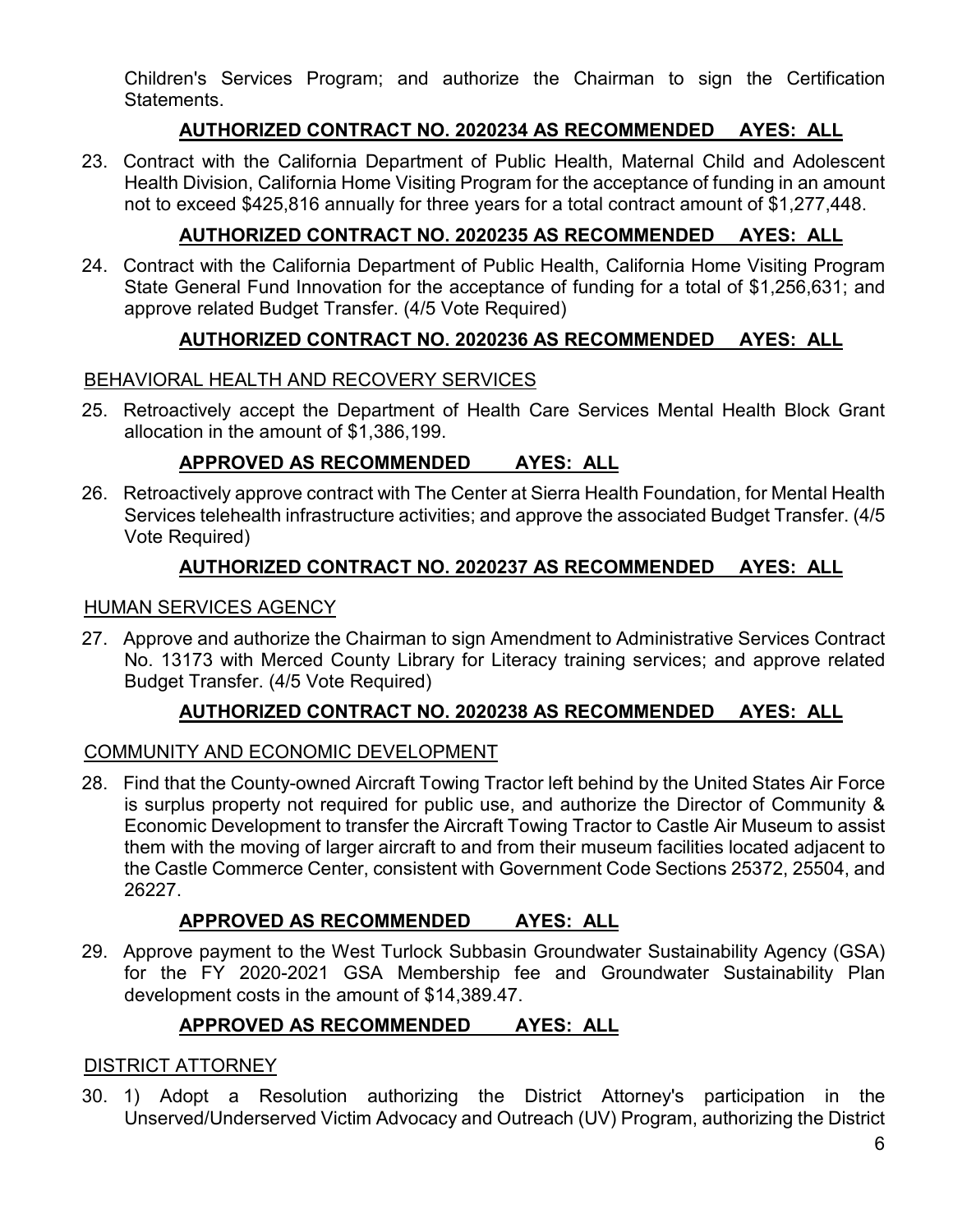Children's Services Program; and authorize the Chairman to sign the Certification Statements.

## **AUTHORIZED CONTRACT NO. 2020234 AS RECOMMENDED AYES: ALL**

23. Contract with the California Department of Public Health, Maternal Child and Adolescent Health Division, California Home Visiting Program for the acceptance of funding in an amount not to exceed \$425,816 annually for three years for a total contract amount of \$1,277,448.

## **AUTHORIZED CONTRACT NO. 2020235 AS RECOMMENDED AYES: ALL**

24. Contract with the California Department of Public Health, California Home Visiting Program State General Fund Innovation for the acceptance of funding for a total of \$1,256,631; and approve related Budget Transfer. (4/5 Vote Required)

## **AUTHORIZED CONTRACT NO. 2020236 AS RECOMMENDED AYES: ALL**

### BEHAVIORAL HEALTH AND RECOVERY SERVICES

25. Retroactively accept the Department of Health Care Services Mental Health Block Grant allocation in the amount of \$1,386,199.

## **APPROVED AS RECOMMENDED AYES: ALL**

26. Retroactively approve contract with The Center at Sierra Health Foundation, for Mental Health Services telehealth infrastructure activities; and approve the associated Budget Transfer. (4/5 Vote Required)

### **AUTHORIZED CONTRACT NO. 2020237 AS RECOMMENDED AYES: ALL**

#### HUMAN SERVICES AGENCY

27. Approve and authorize the Chairman to sign Amendment to Administrative Services Contract No. 13173 with Merced County Library for Literacy training services; and approve related Budget Transfer. (4/5 Vote Required)

### **AUTHORIZED CONTRACT NO. 2020238 AS RECOMMENDED AYES: ALL**

### COMMUNITY AND ECONOMIC DEVELOPMENT

28. Find that the County-owned Aircraft Towing Tractor left behind by the United States Air Force is surplus property not required for public use, and authorize the Director of Community & Economic Development to transfer the Aircraft Towing Tractor to Castle Air Museum to assist them with the moving of larger aircraft to and from their museum facilities located adjacent to the Castle Commerce Center, consistent with Government Code Sections 25372, 25504, and 26227.

### **APPROVED AS RECOMMENDED AYES: ALL**

29. Approve payment to the West Turlock Subbasin Groundwater Sustainability Agency (GSA) for the FY 2020-2021 GSA Membership fee and Groundwater Sustainability Plan development costs in the amount of \$14,389.47.

## **APPROVED AS RECOMMENDED AYES: ALL**

#### DISTRICT ATTORNEY

30. 1) Adopt a Resolution authorizing the District Attorney's participation in the Unserved/Underserved Victim Advocacy and Outreach (UV) Program, authorizing the District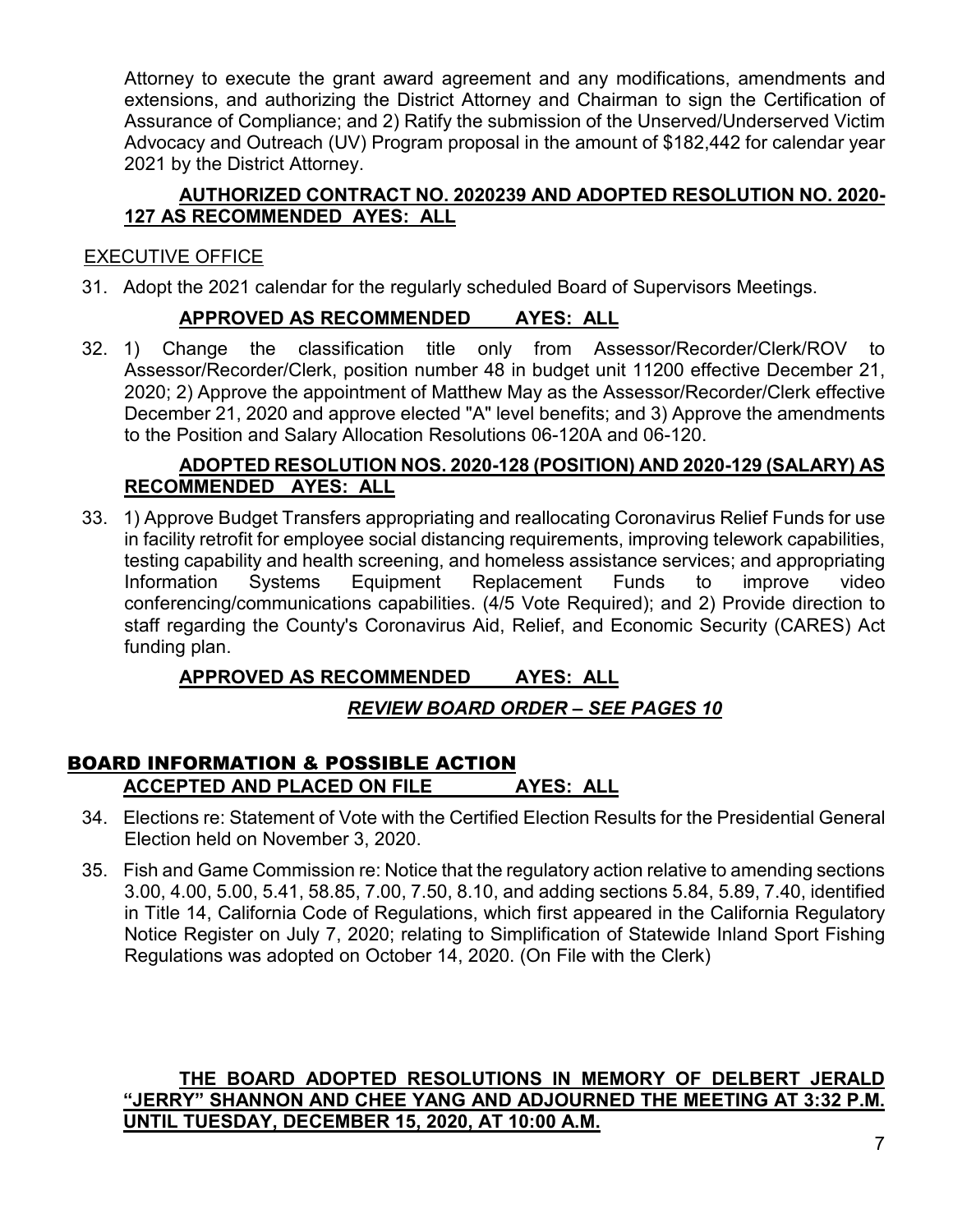Attorney to execute the grant award agreement and any modifications, amendments and extensions, and authorizing the District Attorney and Chairman to sign the Certification of Assurance of Compliance; and 2) Ratify the submission of the Unserved/Underserved Victim Advocacy and Outreach (UV) Program proposal in the amount of \$182,442 for calendar year 2021 by the District Attorney.

### **AUTHORIZED CONTRACT NO. 2020239 AND ADOPTED RESOLUTION NO. 2020- 127 AS RECOMMENDED AYES: ALL**

# EXECUTIVE OFFICE

31. Adopt the 2021 calendar for the regularly scheduled Board of Supervisors Meetings.

## **APPROVED AS RECOMMENDED AYES: ALL**

32. 1) Change the classification title only from Assessor/Recorder/Clerk/ROV to Assessor/Recorder/Clerk, position number 48 in budget unit 11200 effective December 21, 2020; 2) Approve the appointment of Matthew May as the Assessor/Recorder/Clerk effective December 21, 2020 and approve elected "A" level benefits; and 3) Approve the amendments to the Position and Salary Allocation Resolutions 06-120A and 06-120.

### **ADOPTED RESOLUTION NOS. 2020-128 (POSITION) AND 2020-129 (SALARY) AS RECOMMENDED AYES: ALL**

33. 1) Approve Budget Transfers appropriating and reallocating Coronavirus Relief Funds for use in facility retrofit for employee social distancing requirements, improving telework capabilities, testing capability and health screening, and homeless assistance services; and appropriating Information Systems Equipment Replacement Funds to improve video conferencing/communications capabilities. (4/5 Vote Required); and 2) Provide direction to staff regarding the County's Coronavirus Aid, Relief, and Economic Security (CARES) Act funding plan.

## **APPROVED AS RECOMMENDED AYES: ALL**

## *REVIEW BOARD ORDER – SEE PAGES 10*

## BOARD INFORMATION & POSSIBLE ACTION **ACCEPTED AND PLACED ON FILE AYES: ALL**

- 34. Elections re: Statement of Vote with the Certified Election Results for the Presidential General Election held on November 3, 2020.
- 35. Fish and Game Commission re: Notice that the regulatory action relative to amending sections 3.00, 4.00, 5.00, 5.41, 58.85, 7.00, 7.50, 8.10, and adding sections 5.84, 5.89, 7.40, identified in Title 14, California Code of Regulations, which first appeared in the California Regulatory Notice Register on July 7, 2020; relating to Simplification of Statewide Inland Sport Fishing Regulations was adopted on October 14, 2020. (On File with the Clerk)

### **THE BOARD ADOPTED RESOLUTIONS IN MEMORY OF DELBERT JERALD "JERRY" SHANNON AND CHEE YANG AND ADJOURNED THE MEETING AT 3:32 P.M. UNTIL TUESDAY, DECEMBER 15, 2020, AT 10:00 A.M.**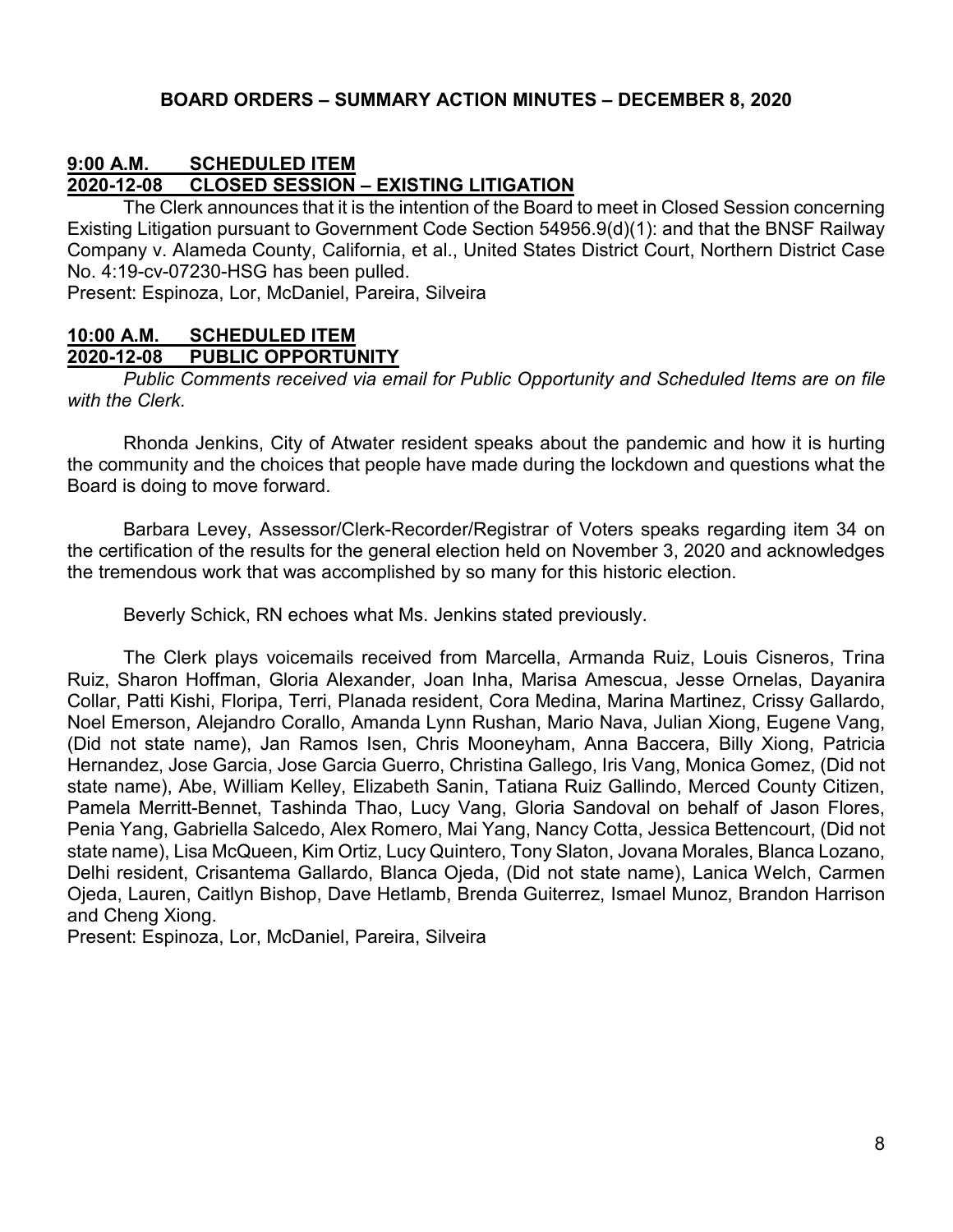### **9:00 A.M. SCHEDULED ITEM 2020-12-08 CLOSED SESSION – EXISTING LITIGATION**

The Clerk announces that it is the intention of the Board to meet in Closed Session concerning Existing Litigation pursuant to Government Code Section 54956.9(d)(1): and that the BNSF Railway Company v. Alameda County, California, et al., United States District Court, Northern District Case No. 4:19-cv-07230-HSG has been pulled.

Present: Espinoza, Lor, McDaniel, Pareira, Silveira

## **10:00 A.M. SCHEDULED ITEM**

#### **2020-12-08 PUBLIC OPPORTUNITY**

*Public Comments received via email for Public Opportunity and Scheduled Items are on file with the Clerk.*

Rhonda Jenkins, City of Atwater resident speaks about the pandemic and how it is hurting the community and the choices that people have made during the lockdown and questions what the Board is doing to move forward.

Barbara Levey, Assessor/Clerk-Recorder/Registrar of Voters speaks regarding item 34 on the certification of the results for the general election held on November 3, 2020 and acknowledges the tremendous work that was accomplished by so many for this historic election.

Beverly Schick, RN echoes what Ms. Jenkins stated previously.

The Clerk plays voicemails received from Marcella, Armanda Ruiz, Louis Cisneros, Trina Ruiz, Sharon Hoffman, Gloria Alexander, Joan Inha, Marisa Amescua, Jesse Ornelas, Dayanira Collar, Patti Kishi, Floripa, Terri, Planada resident, Cora Medina, Marina Martinez, Crissy Gallardo, Noel Emerson, Alejandro Corallo, Amanda Lynn Rushan, Mario Nava, Julian Xiong, Eugene Vang, (Did not state name), Jan Ramos Isen, Chris Mooneyham, Anna Baccera, Billy Xiong, Patricia Hernandez, Jose Garcia, Jose Garcia Guerro, Christina Gallego, Iris Vang, Monica Gomez, (Did not state name), Abe, William Kelley, Elizabeth Sanin, Tatiana Ruiz Gallindo, Merced County Citizen, Pamela Merritt-Bennet, Tashinda Thao, Lucy Vang, Gloria Sandoval on behalf of Jason Flores, Penia Yang, Gabriella Salcedo, Alex Romero, Mai Yang, Nancy Cotta, Jessica Bettencourt, (Did not state name), Lisa McQueen, Kim Ortiz, Lucy Quintero, Tony Slaton, Jovana Morales, Blanca Lozano, Delhi resident, Crisantema Gallardo, Blanca Ojeda, (Did not state name), Lanica Welch, Carmen Ojeda, Lauren, Caitlyn Bishop, Dave Hetlamb, Brenda Guiterrez, Ismael Munoz, Brandon Harrison and Cheng Xiong.

Present: Espinoza, Lor, McDaniel, Pareira, Silveira